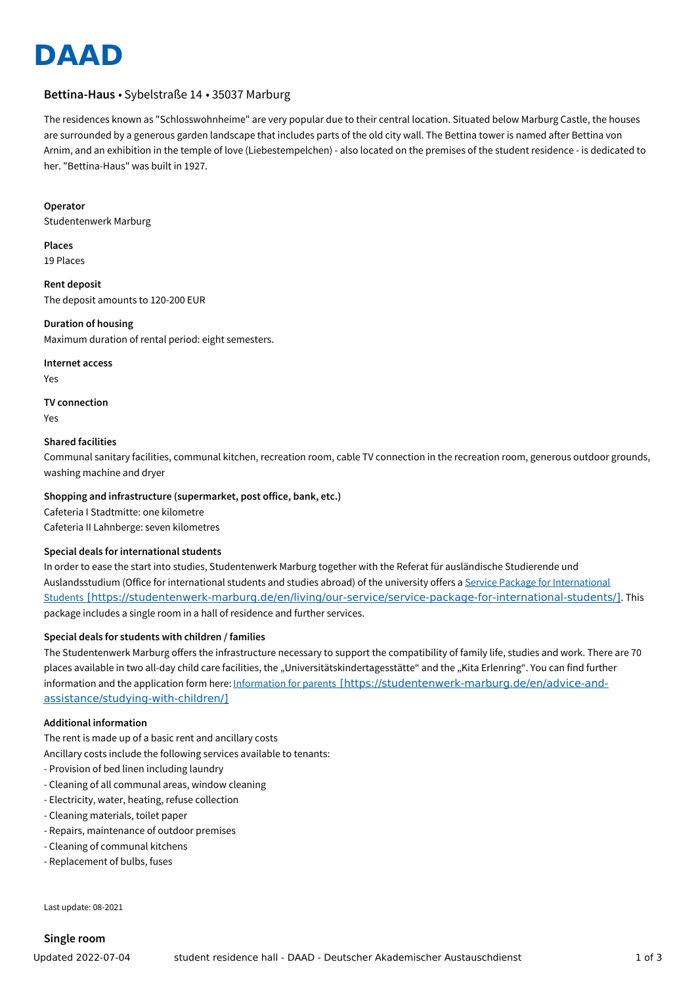

# **Bettina-Haus** • Sybelstraße 14 • 35037 Marburg

The residences known as "Schlosswohnheime" are very popular due to their central location. Situated below Marburg Castle, the houses are surrounded by a generous garden landscape that includes parts of the old city wall. The Bettina tower is named after Bettina von Arnim, and an exhibition in the temple of love (Liebestempelchen) - also located on the premises of the student residence - is dedicated to her. "Bettina-Haus" was built in 1927.

#### **Operator**

Studentenwerk Marburg

**Places** 19 Places

**Rent deposit** The deposit amounts to 120-200 EUR

**Duration of housing** Maximum duration of rental period: eight semesters.

#### **Internet access**

Yes

# **TV connection**

Yes

# **Shared facilities**

Communal sanitary facilities, communal kitchen, recreation room, cable TV connection in the recreation room, generous outdoor grounds, washing machine and dryer

# **Shopping and infrastructure (supermarket, post office, bank, etc.)**

Cafeteria I Stadtmitte: one kilometre Cafeteria II Lahnberge: seven kilometres

# **Special deals for international students**

In order to ease the start into studies, Studentenwerk Marburg together with the Referat für ausländische Studierende und Auslandsstudium (Office for international students and studies abroad) of the university offers a Service Package for International Students [\[https://studentenwerk-marburg.de/en/living/our-service/service-package-for-international-students/\]](https://studentenwerk-marburg.de/en/living/our-service/service-package-for-international-students/). This package includes a single room in a hall of residence and further services.

# **Special deals for students with children / families**

The Studentenwerk Marburg offers the infrastructure necessary to support the compatibility of family life, studies and work. There are 70 places available in two all-day child care facilities, the "Universitätskindertagesstätte" and the "Kita Erlenring". You can find further information and the application form here: Information for parents [\[https://studentenwerk-marburg.de/en/advice-and](https://studentenwerk-marburg.de/en/advice-and-assistance/studying-with-children/)assistance/studying-with-children/]

# **Additional information**

The rent is made up of a basic rent and ancillary costs

Ancillary costs include the following services available to tenants:

- Provision of bed linen including laundry
- Cleaning of all communal areas, window cleaning
- Electricity, water, heating, refuse collection
- Cleaning materials, toilet paper
- Repairs, maintenance of outdoor premises
- Cleaning of communal kitchens
- Replacement of bulbs, fuses

Last update: 08-2021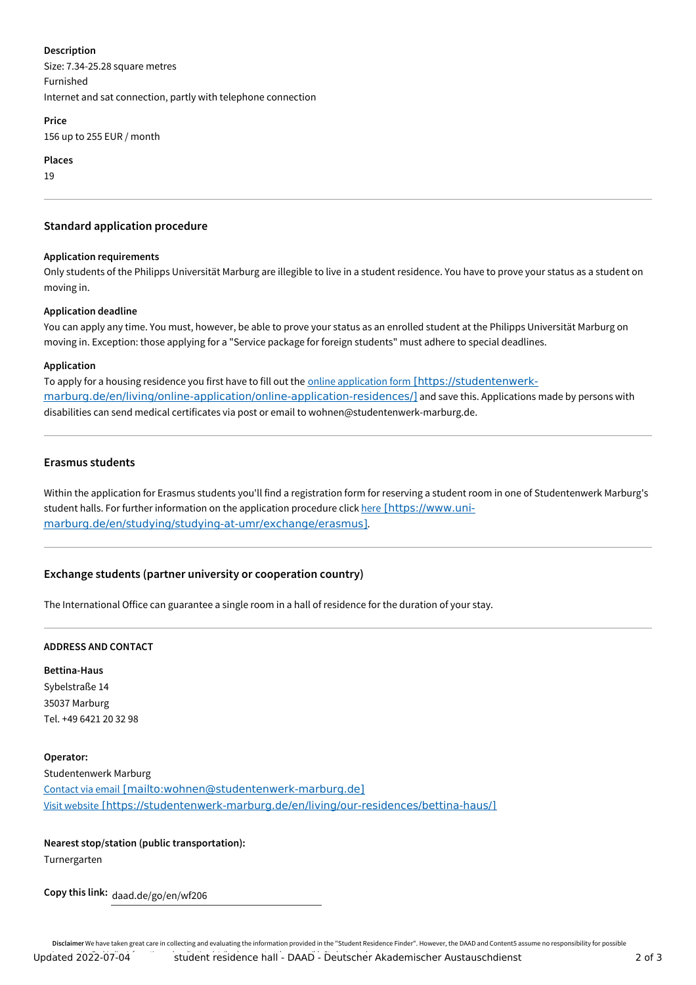#### **Description**

Size: 7.34-25.28 square metres Furnished Internet and sat connection, partly with telephone connection

#### **Price**

156 up to 255 EUR / month

**Places**

19

# **Standard application procedure**

# **Application requirements**

Only students of the Philipps Universität Marburg are illegible to live in a student residence. You have to prove your status as a student on moving in.

# **Application deadline**

You can apply any time. You must, however, be able to prove your status as an enrolled student at the Philipps Universität Marburg on moving in. Exception: those applying for a "Service package for foreign students" must adhere to special deadlines.

# **Application**

To apply for a housing residence you first have to fill out the online application form [https://studentenwerk[marburg.de/en/living/online-application/online-application-residences/\]](https://studentenwerk-marburg.de/en/living/online-application/online-application-residences/) and save this. Applications made by persons with disabilities can send medical certificates via post or email to wohnen@studentenwerk-marburg.de.

# **Erasmus students**

Within the application for Erasmus students you'll find a registration form for reserving a student room in one of Studentenwerk Marburg's student halls. For further information on the application procedure click here [https://www.uni[marburg.de/en/studying/studying-at-umr/exchange/erasmus\]](https://www.uni-marburg.de/en/studying/studying-at-umr/exchange/erasmus).

# **Exchange students (partner university or cooperation country)**

The International Office can guarantee a single room in a hall of residence for the duration of your stay.

# **ADDRESS AND CONTACT**

**Bettina-Haus** Sybelstraße 14 35037 Marburg Tel. +49 6421 20 32 98

# **Operator:**

Studentenwerk Marburg Contact via email [\[mailto:wohnen@studentenwerk-marburg.de\]](mailto:wohnen@studentenwerk-marburg.de) Visit website [\[https://studentenwerk-marburg.de/en/living/our-residences/bettina-haus/\]](https://studentenwerk-marburg.de/en/living/our-residences/bettina-haus/)

# **Nearest stop/station (public transportation):**

Turnergarten

**Copy this link:** daad.de/go/en/wf206